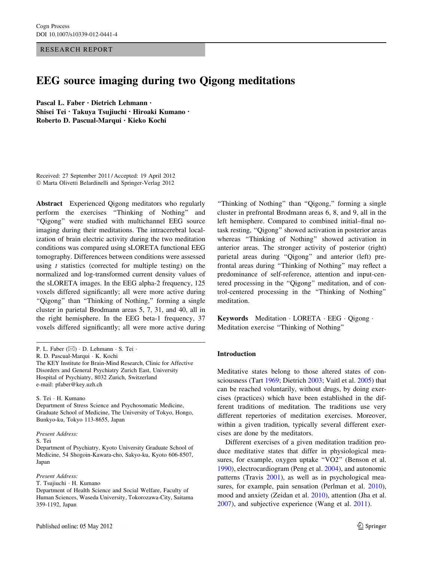RESEARCH REPORT

# EEG source imaging during two Qigong meditations

Pascal L. Faber • Dietrich Lehmann • Shisei Tei • Takuya Tsujiuchi • Hiroaki Kumano • Roberto D. Pascual-Marqui • Kieko Kochi

Received: 27 September 2011 / Accepted: 19 April 2012 - Marta Olivetti Belardinelli and Springer-Verlag 2012

Abstract Experienced Qigong meditators who regularly perform the exercises ''Thinking of Nothing'' and ''Qigong'' were studied with multichannel EEG source imaging during their meditations. The intracerebral localization of brain electric activity during the two meditation conditions was compared using sLORETA functional EEG tomography. Differences between conditions were assessed using  $t$  statistics (corrected for multiple testing) on the normalized and log-transformed current density values of the sLORETA images. In the EEG alpha-2 frequency, 125 voxels differed significantly; all were more active during ''Qigong'' than ''Thinking of Nothing,'' forming a single cluster in parietal Brodmann areas 5, 7, 31, and 40, all in the right hemisphere. In the EEG beta-1 frequency, 37 voxels differed significantly; all were more active during

R. D. Pascual-Marqui - K. Kochi

The KEY Institute for Brain-Mind Research, Clinic for Affective Disorders and General Psychiatry Zurich East, University Hospital of Psychiatry, 8032 Zurich, Switzerland e-mail: pfaber@key.uzh.ch

#### S. Tei - H. Kumano

Department of Stress Science and Psychosomatic Medicine, Graduate School of Medicine, The University of Tokyo, Hongo, Bunkyo-ku, Tokyo 113-8655, Japan

#### Present Address:

## S. Tei

Department of Psychiatry, Kyoto University Graduate School of Medicine, 54 Shogoin-Kawara-cho, Sakyo-ku, Kyoto 606-8507, Japan

#### Present Address:

T. Tsujiuchi - H. Kumano

Department of Health Science and Social Welfare, Faculty of Human Sciences, Waseda University, Tokorozawa-City, Saitama 359-1192, Japan

''Thinking of Nothing'' than ''Qigong,'' forming a single cluster in prefrontal Brodmann areas 6, 8, and 9, all in the left hemisphere. Compared to combined initial–final notask resting, ''Qigong'' showed activation in posterior areas whereas ''Thinking of Nothing'' showed activation in anterior areas. The stronger activity of posterior (right) parietal areas during ''Qigong'' and anterior (left) prefrontal areas during ''Thinking of Nothing'' may reflect a predominance of self-reference, attention and input-centered processing in the ''Qigong'' meditation, and of control-centered processing in the ''Thinking of Nothing'' meditation.

Keywords Meditation · LORETA · EEG · Qigong · Meditation exercise ''Thinking of Nothing''

## Introduction

Meditative states belong to those altered states of consciousness (Tart [1969](#page-10-0); Dietrich [2003;](#page-8-0) Vaitl et al. [2005](#page-10-0)) that can be reached voluntarily, without drugs, by doing exercises (practices) which have been established in the different traditions of meditation. The traditions use very different repertories of meditation exercises. Moreover, within a given tradition, typically several different exercises are done by the meditators.

Different exercises of a given meditation tradition produce meditative states that differ in physiological measures, for example, oxygen uptake "VO2" (Benson et al. [1990](#page-8-0)), electrocardiogram (Peng et al. [2004\)](#page-10-0), and autonomic patterns (Travis [2001](#page-10-0)), as well as in psychological mea-sures, for example, pain sensation (Perlman et al. [2010](#page-10-0)), mood and anxiety (Zeidan et al. [2010](#page-10-0)), attention (Jha et al. [2007](#page-8-0)), and subjective experience (Wang et al. [2011](#page-10-0)).

P. L. Faber  $(\boxtimes) \cdot$  D. Lehmann  $\cdot$  S. Tei  $\cdot$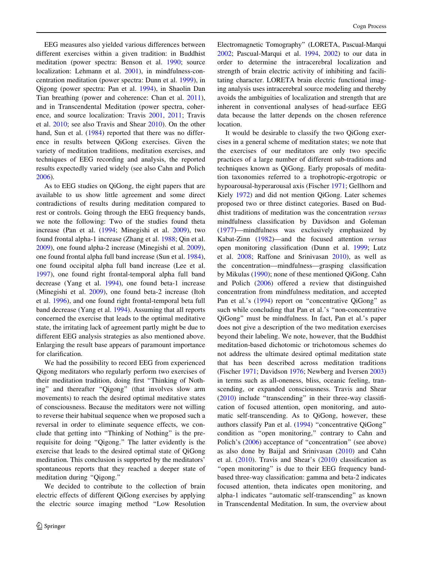EEG measures also yielded various differences between different exercises within a given tradition: in Buddhist meditation (power spectra: Benson et al. [1990;](#page-8-0) source localization: Lehmann et al. [2001\)](#page-9-0), in mindfulness-concentration meditation (power spectra: Dunn et al. [1999\)](#page-8-0), in Qigong (power spectra: Pan et al. [1994](#page-9-0)), in Shaolin Dan Tian breathing (power and coherence: Chan et al. [2011](#page-8-0)), and in Transcendental Meditation (power spectra, coherence, and source localization: Travis [2001,](#page-10-0) [2011](#page-10-0); Travis et al. [2010;](#page-10-0) see also Travis and Shear [2010\)](#page-10-0). On the other hand, Sun et al. ([1984\)](#page-10-0) reported that there was no difference in results between QiGong exercises. Given the variety of meditation traditions, meditation exercises, and techniques of EEG recording and analysis, the reported results expectedly varied widely (see also Cahn and Polich [2006\)](#page-8-0).

As to EEG studies on QiGong, the eight papers that are available to us show little agreement and some direct contradictions of results during meditation compared to rest or controls. Going through the EEG frequency bands, we note the following: Two of the studies found theta increase (Pan et al. ([1994;](#page-9-0) Minegishi et al. [2009](#page-9-0)), two found frontal alpha-1 increase (Zhang et al. [1988;](#page-10-0) Qin et al. [2009\)](#page-10-0), one found alpha-2 increase (Minegishi et al. [2009](#page-9-0)), one found frontal alpha full band increase (Sun et al. [1984](#page-10-0)), one found occipital alpha full band increase (Lee et al. [1997\)](#page-9-0), one found right frontal-temporal alpha full band decrease (Yang et al. [1994\)](#page-10-0), one found beta-1 increase (Minegishi et al. [2009\)](#page-9-0), one found beta-2 increase (Itoh et al. [1996](#page-8-0)), and one found right frontal-temporal beta full band decrease (Yang et al. [1994\)](#page-10-0). Assuming that all reports concerned the exercise that leads to the optimal meditative state, the irritating lack of agreement partly might be due to different EEG analysis strategies as also mentioned above. Enlarging the result base appears of paramount importance for clarification.

We had the possibility to record EEG from experienced Qigong meditators who regularly perform two exercises of their meditation tradition, doing first ''Thinking of Nothing" and thereafter "Qigong" (that involves slow arm movements) to reach the desired optimal meditative states of consciousness. Because the meditators were not willing to reverse their habitual sequence when we proposed such a reversal in order to eliminate sequence effects, we conclude that getting into ''Thinking of Nothing'' is the prerequisite for doing ''Qigong.'' The latter evidently is the exercise that leads to the desired optimal state of QiGong meditation. This conclusion is supported by the meditators' spontaneous reports that they reached a deeper state of meditation during ''Qigong.''

We decided to contribute to the collection of brain electric effects of different QiGong exercises by applying the electric source imaging method ''Low Resolution Electromagnetic Tomography'' (LORETA, Pascual-Marqui [2002](#page-9-0); Pascual-Marqui et al. [1994,](#page-9-0) [2002\)](#page-9-0) to our data in order to determine the intracerebral localization and strength of brain electric activity of inhibiting and facilitating character. LORETA brain electric functional imaging analysis uses intracerebral source modeling and thereby avoids the ambiguities of localization and strength that are inherent in conventional analyses of head-surface EEG data because the latter depends on the chosen reference location.

It would be desirable to classify the two QiGong exercises in a general scheme of meditation states; we note that the exercises of our meditators are only two specific practices of a large number of different sub-traditions and techniques known as QiGong. Early proposals of meditation taxonomies referred to a trophotropic-ergotropic or hypoarousal-hyperarousal axis (Fischer [1971](#page-8-0); Gellhorn and Kiely [1972](#page-8-0)) and did not mention QiGong. Later schemes proposed two or three distinct categories. Based on Buddhist traditions of meditation was the concentration versus mindfulness classification by Davidson and Goleman [\(1977](#page-8-0))—mindfulness was exclusively emphasized by Kabat-Zinn [\(1982\)](#page-9-0)—and the focused attention versus open monitoring classification (Dunn et al. [1999;](#page-8-0) Lutz et al. [2008](#page-9-0); Raffone and Srinivasan [2010\)](#page-10-0), as well as the concentration—mindfulness—grasping classification by Mikulas [\(1990](#page-9-0)); none of these mentioned QiGong. Cahn and Polich ([2006\)](#page-8-0) offered a review that distinguished concentration from mindfulness meditation, and accepted Pan et al.'s ([1994\)](#page-9-0) report on "concentrative QiGong" as such while concluding that Pan et al.'s "non-concentrative QiGong'' must be mindfulness. In fact, Pan et al.'s paper does not give a description of the two meditation exercises beyond their labeling. We note, however, that the Buddhist meditation-based dichotomic or trichotomous schemes do not address the ultimate desired optimal meditation state that has been described across meditation traditions (Fischer [1971](#page-8-0); Davidson [1976;](#page-8-0) Newberg and Iversen [2003\)](#page-9-0) in terms such as all-oneness, bliss, oceanic feeling, transcending, or expanded consciousness. Travis and Shear [\(2010](#page-10-0)) include ''transcending'' in their three-way classification of focused attention, open monitoring, and automatic self-transcending. As to QiGong, however, these authors classify Pan et al. [\(1994](#page-9-0)) ''concentrative QiGong'' condition as ''open monitoring,'' contrary to Cahn and Polich's [\(2006](#page-8-0)) acceptance of ''concentration'' (see above) as also done by Baijal and Srinivasan [\(2010](#page-8-0)) and Cahn et al. [\(2010](#page-8-0)). Travis and Shear's ([2010\)](#page-10-0) classification as "open monitoring" is due to their EEG frequency bandbased three-way classification: gamma and beta-2 indicates focused attention, theta indicates open monitoring, and alpha-1 indicates ''automatic self-transcending'' as known in Transcendental Meditation. In sum, the overview about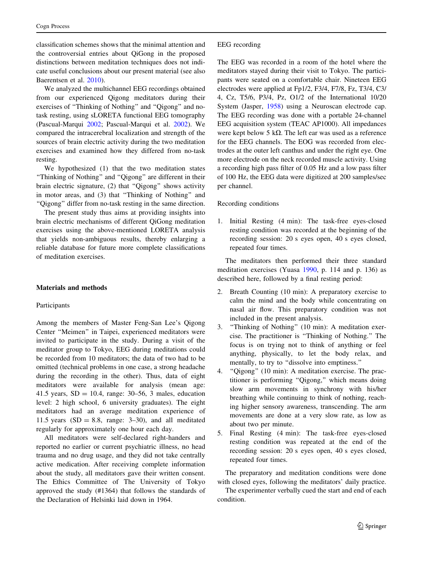classification schemes shows that the minimal attention and the controversial entries about QiGong in the proposed distinctions between meditation techniques does not indicate useful conclusions about our present material (see also Baerentsen et al. [2010\)](#page-8-0).

We analyzed the multichannel EEG recordings obtained from our experienced Qigong meditators during their exercises of "Thinking of Nothing" and "Qigong" and notask resting, using sLORETA functional EEG tomography (Pascual-Marqui [2002](#page-9-0); Pascual-Marqui et al. [2002\)](#page-9-0). We compared the intracerebral localization and strength of the sources of brain electric activity during the two meditation exercises and examined how they differed from no-task resting.

We hypothesized (1) that the two meditation states ''Thinking of Nothing'' and ''Qigong'' are different in their brain electric signature, (2) that ''Qigong'' shows activity in motor areas, and (3) that ''Thinking of Nothing'' and ''Qigong'' differ from no-task resting in the same direction.

The present study thus aims at providing insights into brain electric mechanisms of different QiGong meditation exercises using the above-mentioned LORETA analysis that yields non-ambiguous results, thereby enlarging a reliable database for future more complete classifications of meditation exercises.

#### Materials and methods

## Participants

Among the members of Master Feng-San Lee's Qigong Center ''Meimen'' in Taipei, experienced meditators were invited to participate in the study. During a visit of the meditator group to Tokyo, EEG during meditations could be recorded from 10 meditators; the data of two had to be omitted (technical problems in one case, a strong headache during the recording in the other). Thus, data of eight meditators were available for analysis (mean age: 41.5 years,  $SD = 10.4$ , range: 30–56, 3 males, education level: 2 high school, 6 university graduates). The eight meditators had an average meditation experience of 11.5 years  $(SD = 8.8, \text{ range: } 3{\text -}30)$ , and all meditated regularly for approximately one hour each day.

All meditators were self-declared right-handers and reported no earlier or current psychiatric illness, no head trauma and no drug usage, and they did not take centrally active medication. After receiving complete information about the study, all meditators gave their written consent. The Ethics Committee of The University of Tokyo approved the study (#1364) that follows the standards of the Declaration of Helsinki laid down in 1964.

#### EEG recording

The EEG was recorded in a room of the hotel where the meditators stayed during their visit to Tokyo. The participants were seated on a comfortable chair. Nineteen EEG electrodes were applied at Fp1/2, F3/4, F7/8, Fz, T3/4, C3/ 4, Cz, T5/6, P3/4, Pz, O1/2 of the International 10/20 System (Jasper, [1958\)](#page-8-0) using a Neuroscan electrode cap. The EEG recording was done with a portable 24-channel EEG acquisition system (TEAC AP1000). All impedances were kept below 5 k $\Omega$ . The left ear was used as a reference for the EEG channels. The EOG was recorded from electrodes at the outer left canthus and under the right eye. One more electrode on the neck recorded muscle activity. Using a recording high pass filter of 0.05 Hz and a low pass filter of 100 Hz, the EEG data were digitized at 200 samples/sec per channel.

## Recording conditions

1. Initial Resting (4 min): The task-free eyes-closed resting condition was recorded at the beginning of the recording session: 20 s eyes open, 40 s eyes closed, repeated four times.

The meditators then performed their three standard meditation exercises (Yuasa [1990](#page-10-0), p. 114 and p. 136) as described here, followed by a final resting period:

- 2. Breath Counting (10 min): A preparatory exercise to calm the mind and the body while concentrating on nasal air flow. This preparatory condition was not included in the present analysis.
- 3. ''Thinking of Nothing'' (10 min): A meditation exercise. The practitioner is ''Thinking of Nothing.'' The focus is on trying not to think of anything or feel anything, physically, to let the body relax, and mentally, to try to "dissolve into emptiness."
- 4. ''Qigong'' (10 min): A meditation exercise. The practitioner is performing ''Qigong,'' which means doing slow arm movements in synchrony with his/her breathing while continuing to think of nothing, reaching higher sensory awareness, transcending. The arm movements are done at a very slow rate, as low as about two per minute.
- 5. Final Resting (4 min): The task-free eyes-closed resting condition was repeated at the end of the recording session: 20 s eyes open, 40 s eyes closed, repeated four times.

The preparatory and meditation conditions were done with closed eyes, following the meditators' daily practice.

The experimenter verbally cued the start and end of each condition.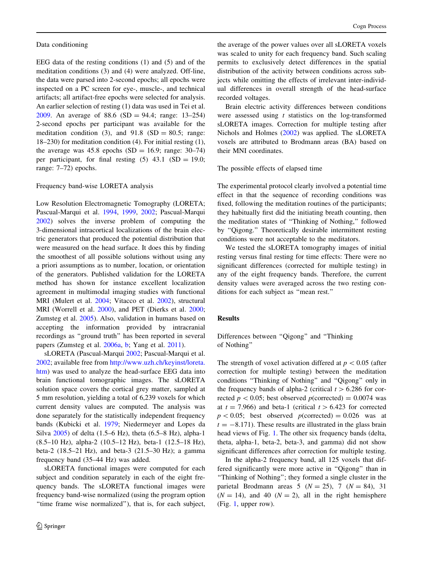#### Data conditioning

EEG data of the resting conditions (1) and (5) and of the meditation conditions (3) and (4) were analyzed. Off-line, the data were parsed into 2-second epochs; all epochs were inspected on a PC screen for eye-, muscle-, and technical artifacts; all artifact-free epochs were selected for analysis. An earlier selection of resting (1) data was used in Tei et al. [2009.](#page-10-0) An average of 88.6 (SD = 94.4; range: 13–254) 2-second epochs per participant was available for the meditation condition (3), and  $91.8$  (SD = 80.5; range: 18–230) for meditation condition (4). For initial resting (1), the average was  $45.8$  epochs (SD = 16.9; range: 30–74) per participant, for final resting  $(5)$  43.1  $(SD = 19.0;$ range: 7–72) epochs.

## Frequency band-wise LORETA analysis

Low Resolution Electromagnetic Tomography (LORETA; Pascual-Marqui et al. [1994,](#page-9-0) [1999,](#page-9-0) [2002;](#page-9-0) Pascual-Marqui [2002\)](#page-9-0) solves the inverse problem of computing the 3-dimensional intracortical localizations of the brain electric generators that produced the potential distribution that were measured on the head surface. It does this by finding the smoothest of all possible solutions without using any a priori assumptions as to number, location, or orientation of the generators. Published validation for the LORETA method has shown for instance excellent localization agreement in multimodal imaging studies with functional MRI (Mulert et al. [2004;](#page-9-0) Vitacco et al. [2002](#page-10-0)), structural MRI (Worrell et al. [2000](#page-10-0)), and PET (Dierks et al. [2000](#page-8-0); Zumsteg et al. [2005](#page-10-0)). Also, validation in humans based on accepting the information provided by intracranial recordings as ''ground truth'' has been reported in several papers (Zumsteg et al. [2006a](#page-10-0), [b](#page-10-0); Yang et al. [2011\)](#page-10-0).

sLORETA (Pascual-Marqui [2002;](#page-9-0) Pascual-Marqui et al. [2002;](#page-9-0) available free from [http://www.uzh.ch/keyinst/loreta.](http://www.uzh.ch/keyinst/loreta.htm) [htm\)](http://www.uzh.ch/keyinst/loreta.htm) was used to analyze the head-surface EEG data into brain functional tomographic images. The sLORETA solution space covers the cortical grey matter, sampled at 5 mm resolution, yielding a total of 6,239 voxels for which current density values are computed. The analysis was done separately for the statistically independent frequency bands (Kubicki et al. [1979](#page-9-0); Niedermeyer and Lopes da Silva [2005\)](#page-9-0) of delta (1.5–6 Hz), theta (6.5–8 Hz), alpha-1 (8.5–10 Hz), alpha-2 (10.5–12 Hz), beta-1 (12.5–18 Hz), beta-2 (18.5–21 Hz), and beta-3 (21.5–30 Hz); a gamma frequency band (35–44 Hz) was added.

sLORETA functional images were computed for each subject and condition separately in each of the eight frequency bands. The sLORETA functional images were frequency band-wise normalized (using the program option "time frame wise normalized"), that is, for each subject,

the average of the power values over all sLORETA voxels was scaled to unity for each frequency band. Such scaling permits to exclusively detect differences in the spatial distribution of the activity between conditions across subjects while omitting the effects of irrelevant inter-individual differences in overall strength of the head-surface recorded voltages.

Brain electric activity differences between conditions were assessed using  $t$  statistics on the log-transformed sLORETA images. Correction for multiple testing after Nichols and Holmes [\(2002](#page-9-0)) was applied. The sLORETA voxels are attributed to Brodmann areas (BA) based on their MNI coordinates.

The possible effects of elapsed time

The experimental protocol clearly involved a potential time effect in that the sequence of recording conditions was fixed, following the meditation routines of the participants; they habitually first did the initiating breath counting, then the meditation states of ''Thinking of Nothing,'' followed by ''Qigong.'' Theoretically desirable intermittent resting conditions were not acceptable to the meditators.

We tested the sLORETA tomography images of initial resting versus final resting for time effects: There were no significant differences (corrected for multiple testing) in any of the eight frequency bands. Therefore, the current density values were averaged across the two resting conditions for each subject as ''mean rest.''

## Results

## Differences between ''Qigong'' and ''Thinking of Nothing''

The strength of voxel activation differed at  $p < 0.05$  (after correction for multiple testing) between the meditation conditions ''Thinking of Nothing'' and ''Qigong'' only in the frequency bands of alpha-2 (critical  $t > 6.286$  for corrected  $p < 0.05$ ; best observed  $p$ (corrected) = 0.0074 was at  $t = 7.966$ ) and beta-1 (critical  $t > 6.423$  for corrected  $p < 0.05$ ; best observed  $p$ (corrected) = 0.026 was at  $t = -8.171$ ). These results are illustrated in the glass brain head views of Fig. [1.](#page-4-0) The other six frequency bands (delta, theta, alpha-1, beta-2, beta-3, and gamma) did not show significant differences after correction for multiple testing.

In the alpha-2 frequency band, all 125 voxels that differed significantly were more active in ''Qigong'' than in ''Thinking of Nothing''; they formed a single cluster in the parietal Brodmann areas 5 ( $N = 25$ ), 7 ( $N = 84$ ), 31  $(N = 14)$ , and 40  $(N = 2)$ , all in the right hemisphere (Fig. [1,](#page-4-0) upper row).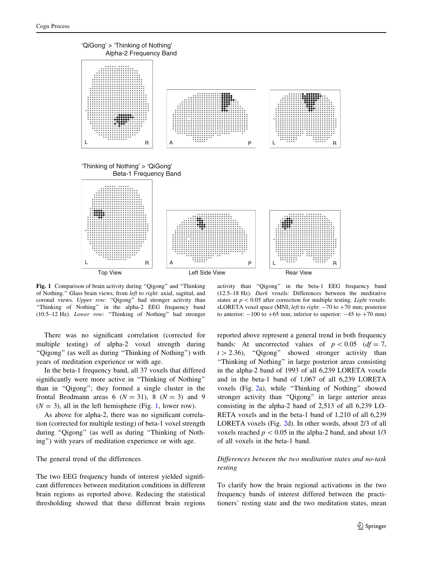<span id="page-4-0"></span>

Fig. 1 Comparison of brain activity during "Qigong" and "Thinking of Nothing.'' Glass brain views, from left to right: axial, sagittal, and coronal views. Upper row: "Qigong" had stronger activity than ''Thinking of Nothing'' in the alpha-2 EEG frequency band (10.5–12 Hz). Lower row: ''Thinking of Nothing'' had stronger

activity than ''Qigong'' in the beta-1 EEG frequency band (12.5–18 Hz). Dark voxels: Differences between the meditative states at  $p < 0.05$  after correction for multiple testing. *Light* voxels: sLORETA voxel space (MNI; left to right:  $-70$  to  $+70$  mm; posterior to anterior:  $-100$  to  $+65$  mm; inferior to superior:  $-45$  to  $+70$  mm)

There was no significant correlation (corrected for multiple testing) of alpha-2 voxel strength during ''Qigong'' (as well as during ''Thinking of Nothing'') with years of meditation experience or with age.

In the beta-1 frequency band, all 37 voxels that differed significantly were more active in ''Thinking of Nothing'' than in ''Qigong''; they formed a single cluster in the frontal Brodmann areas 6 ( $N = 31$ ), 8 ( $N = 3$ ) and 9  $(N = 3)$ , all in the left hemisphere (Fig. 1, lower row).

As above for alpha-2, there was no significant correlation (corrected for multiple testing) of beta-1 voxel strength during "Qigong" (as well as during "Thinking of Nothing'') with years of meditation experience or with age.

#### The general trend of the differences

The two EEG frequency bands of interest yielded significant differences between meditation conditions in different brain regions as reported above. Reducing the statistical thresholding showed that these different brain regions reported above represent a general trend in both frequency bands: At uncorrected values of  $p < 0.05$  (df = 7,  $t > 2.36$ , "Qigong" showed stronger activity than ''Thinking of Nothing'' in large posterior areas consisting in the alpha-2 band of 1993 of all 6,239 LORETA voxels and in the beta-1 band of 1,067 of all 6,239 LORETA voxels (Fig. [2](#page-5-0)a), while ''Thinking of Nothing'' showed stronger activity than ''Qigong'' in large anterior areas consisting in the alpha-2 band of 2,513 of all 6,239 LO-RETA voxels and in the beta-1 band of 1,210 of all 6,239 LORETA voxels (Fig. [2d](#page-5-0)). In other words, about 2/3 of all voxels reached  $p < 0.05$  in the alpha-2 band, and about 1/3 of all voxels in the beta-1 band.

## Differences between the two meditation states and no-task resting

To clarify how the brain regional activations in the two frequency bands of interest differed between the practitioners' resting state and the two meditation states, mean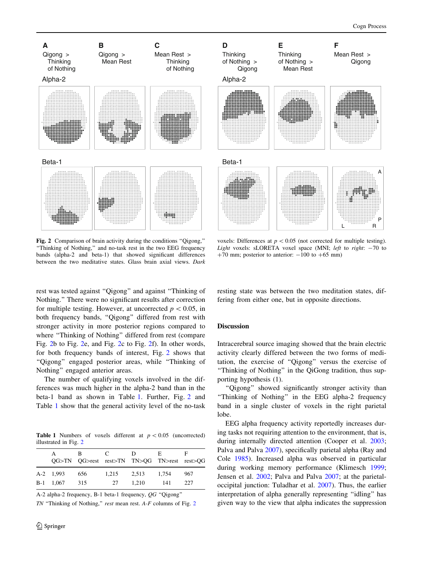<span id="page-5-0"></span>

Fig. 2 Comparison of brain activity during the conditions "Qigong," ''Thinking of Nothing,'' and no-task rest in the two EEG frequency bands (alpha-2 and beta-1) that showed significant differences between the two meditative states. Glass brain axial views. Dark



voxels: Differences at  $p < 0.05$  (not corrected for multiple testing). Light voxels: sLORETA voxel space (MNI; left to right:  $-70$  to  $+70$  mm; posterior to anterior:  $-100$  to  $+65$  mm)

rest was tested against ''Qigong'' and against ''Thinking of Nothing.'' There were no significant results after correction for multiple testing. However, at uncorrected  $p < 0.05$ , in both frequency bands, ''Qigong'' differed from rest with stronger activity in more posterior regions compared to where "Thinking of Nothing" differed from rest (compare Fig. 2b to Fig. 2e, and Fig. 2c to Fig. 2f). In other words, for both frequency bands of interest, Fig. 2 shows that ''Qigong'' engaged posterior areas, while ''Thinking of Nothing'' engaged anterior areas.

The number of qualifying voxels involved in the differences was much higher in the alpha-2 band than in the beta-1 band as shown in Table 1. Further, Fig. 2 and Table 1 show that the general activity level of the no-task

**Table 1** Numbers of voxels different at  $p < 0.05$  (uncorrected) illustrated in Fig. 2

| A           | R.<br>OG>TN OG>rest rest>TN TN>OG TN>rest rest>OG | $\mathcal{C}$ | Ð     | E.    |     |
|-------------|---------------------------------------------------|---------------|-------|-------|-----|
| $A-2$ 1.993 | 656                                               | 1.215         | 2.513 | 1.754 | 967 |
| $B-1$ 1,067 | 315                                               | 27            | 1.210 | 141   | 227 |

A-2 alpha-2 frequency, B-1 beta-1 frequency, QG ''Qigong''

TN ''Thinking of Nothing,'' rest mean rest. A-F columns of Fig. 2

resting state was between the two meditation states, differing from either one, but in opposite directions.

#### Discussion

Intracerebral source imaging showed that the brain electric activity clearly differed between the two forms of meditation, the exercise of ''Qigong'' versus the exercise of ''Thinking of Nothing'' in the QiGong tradition, thus supporting hypothesis (1).

''Qigong'' showed significantly stronger activity than ''Thinking of Nothing'' in the EEG alpha-2 frequency band in a single cluster of voxels in the right parietal lobe.

EEG alpha frequency activity reportedly increases during tasks not requiring attention to the environment, that is, during internally directed attention (Cooper et al. [2003](#page-8-0); Palva and Palva [2007](#page-9-0)), specifically parietal alpha (Ray and Cole [1985](#page-10-0)). Increased alpha was observed in particular during working memory performance (Klimesch [1999](#page-9-0); Jensen et al. [2002;](#page-8-0) Palva and Palva [2007](#page-9-0); at the parietaloccipital junction: Tuladhar et al. [2007](#page-10-0)). Thus, the earlier interpretation of alpha generally representing ''idling'' has given way to the view that alpha indicates the suppression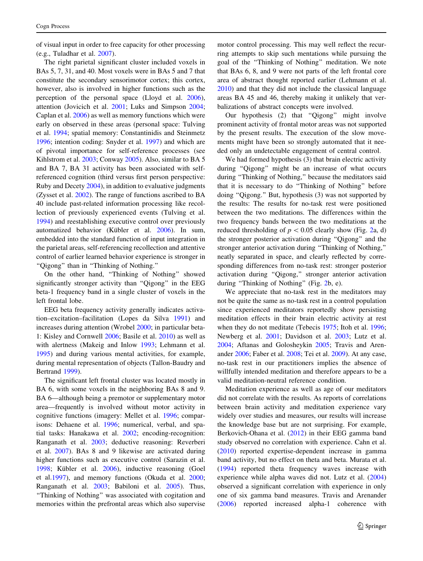of visual input in order to free capacity for other processing (e.g., Tuladhar et al. [2007\)](#page-10-0).

The right parietal significant cluster included voxels in BAs 5, 7, 31, and 40. Most voxels were in BAs 5 and 7 that constitute the secondary sensorimotor cortex; this cortex, however, also is involved in higher functions such as the perception of the personal space (Lloyd et al. [2006](#page-9-0)), attention (Jovicich et al. [2001](#page-9-0); Luks and Simpson [2004](#page-9-0); Caplan et al. [2006\)](#page-8-0) as well as memory functions which were early on observed in these areas (personal space: Tulving et al. [1994;](#page-10-0) spatial memory: Constantinidis and Steinmetz [1996;](#page-8-0) intention coding: Snyder et al. [1997\)](#page-10-0) and which are of pivotal importance for self-reference processes (see Kihlstrom et al. [2003](#page-9-0); Conway [2005](#page-8-0)). Also, similar to BA 5 and BA 7, BA 31 activity has been associated with selfreferenced cognition (third versus first person perspective: Ruby and Decety [2004\)](#page-10-0), in addition to evaluative judgments (Zysset et al. [2002\)](#page-10-0). The range of functions ascribed to BA 40 include past-related information processing like recollection of previously experienced events (Tulving et al. [1994\)](#page-10-0) and reestablishing executive control over previously automatized behavior (Kübler et al. [2006\)](#page-9-0). In sum, embedded into the standard function of input integration in the parietal areas, self-referencing recollection and attentive control of earlier learned behavior experience is stronger in ''Qigong'' than in ''Thinking of Nothing.''

On the other hand, ''Thinking of Nothing'' showed significantly stronger activity than ''Qigong'' in the EEG beta-1 frequency band in a single cluster of voxels in the left frontal lobe.

EEG beta frequency activity generally indicates activation–excitation–facilitation (Lopes da Silva [1991\)](#page-9-0) and increases during attention (Wrobel [2000](#page-10-0); in particular beta-1: Kisley and Cornwell [2006;](#page-9-0) Basile et al. [2010\)](#page-8-0) as well as with alertness (Makeig and Inlow [1993;](#page-9-0) Lehmann et al. [1995\)](#page-9-0) and during various mental activities, for example, during mental representation of objects (Tallon-Baudry and Bertrand [1999](#page-10-0)).

The significant left frontal cluster was located mostly in BA 6, with some voxels in the neighboring BAs 8 and 9. BA 6—although being a premotor or supplementary motor area—frequently is involved without motor activity in cognitive functions (imagery: Mellet et al. [1996](#page-9-0); comparisons: Dehaene et al. [1996;](#page-8-0) numerical, verbal, and spatial tasks: Hanakawa et al. [2002;](#page-8-0) encoding-recognition: Ranganath et al. [2003](#page-10-0); deductive reasoning: Reverberi et al. [2007](#page-10-0)). BAs 8 and 9 likewise are activated during higher functions such as executive control (Sarazin et al. [1998;](#page-10-0) Kübler et al. [2006\)](#page-9-0), inductive reasoning (Goel et al[.1997](#page-8-0)), and memory functions (Okuda et al. [2000](#page-9-0); Ranganath et al. [2003;](#page-10-0) Babiloni et al. [2005\)](#page-8-0). Thus, ''Thinking of Nothing'' was associated with cogitation and memories within the prefrontal areas which also supervise motor control processing. This may well reflect the recurring attempts to skip such mentations while pursuing the goal of the ''Thinking of Nothing'' meditation. We note that BAs 6, 8, and 9 were not parts of the left frontal core area of abstract thought reported earlier (Lehmann et al. [2010](#page-9-0)) and that they did not include the classical language areas BA 45 and 46, thereby making it unlikely that verbalizations of abstract concepts were involved.

Our hypothesis (2) that ''Qigong'' might involve prominent activity of frontal motor areas was not supported by the present results. The execution of the slow movements might have been so strongly automated that it needed only an undetectable engagement of central control.

We had formed hypothesis (3) that brain electric activity during ''Qigong'' might be an increase of what occurs during ''Thinking of Nothing,'' because the meditators said that it is necessary to do ''Thinking of Nothing'' before doing ''Qigong.'' But, hypothesis (3) was not supported by the results: The results for no-task rest were positioned between the two meditations. The differences within the two frequency bands between the two meditations at the reduced thresholding of  $p < 0.05$  clearly show (Fig. [2a](#page-5-0), d) the stronger posterior activation during ''Qigong'' and the stronger anterior activation during ''Thinking of Nothing,'' neatly separated in space, and clearly reflected by corresponding differences from no-task rest: stronger posterior activation during ''Qigong,'' stronger anterior activation during "Thinking of Nothing" (Fig. [2b](#page-5-0), e).

We appreciate that no-task rest in the meditators may not be quite the same as no-task rest in a control population since experienced meditators reportedly show persisting meditation effects in their brain electric activity at rest when they do not meditate (Tebecis [1975](#page-10-0); Itoh et al. [1996](#page-8-0); Newberg et al. [2001](#page-9-0); Davidson et al. [2003;](#page-8-0) Lutz et al. [2004](#page-9-0); Aftanas and Golosheykin [2005](#page-8-0); Travis and Arenander [2006;](#page-10-0) Faber et al. [2008](#page-8-0); Tei et al. [2009\)](#page-10-0). At any case, no-task rest in our practitioners implies the absence of willfully intended meditation and therefore appears to be a valid meditation-neutral reference condition.

Meditation experience as well as age of our meditators did not correlate with the results. As reports of correlations between brain activity and meditation experience vary widely over studies and measures, our results will increase the knowledge base but are not surprising. For example, Berkovich-Ohana et al. [\(2012](#page-8-0)) in their EEG gamma band study observed no correlation with experience. Cahn et al. [\(2010](#page-8-0)) reported expertise-dependent increase in gamma band activity, but no effect on theta and beta. Murata et al. [\(1994](#page-9-0)) reported theta frequency waves increase with experience while alpha waves did not. Lutz et al. ([2004\)](#page-9-0) observed a significant correlation with experience in only one of six gamma band measures. Travis and Arenander [\(2006](#page-10-0)) reported increased alpha-1 coherence with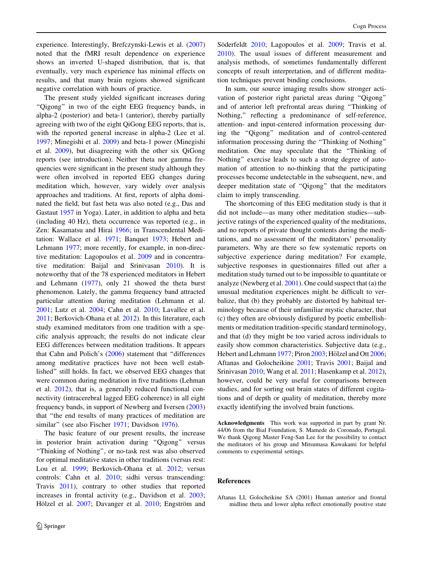experience. Interestingly, Brefczynski-Lewis et al. ([2007\)](#page-8-0) noted that the fMRI result dependence on experience shows an inverted U-shaped distribution, that is, that eventually, very much experience has minimal effects on results, and that many brain regions showed significant negative correlation with hours of practice.

The present study yielded significant increases during ''Qigong'' in two of the eight EEG frequency bands, in alpha-2 (posterior) and beta-1 (anterior), thereby partially agreeing with two of the eight QiGong EEG reports, that is, with the reported general increase in alpha-2 (Lee et al. [1997;](#page-9-0) Minegishi et al. [2009](#page-9-0)) and beta-1 power (Minegishi et al. [2009](#page-9-0)), but disagreeing with the other six QiGong reports (see introduction). Neither theta nor gamma frequencies were significant in the present study although they were often involved in reported EEG changes during meditation which, however, vary widely over analysis approaches and traditions. At first, reports of alpha dominated the field, but fast beta was also noted (e.g., Das and Gastaut [1957](#page-8-0) in Yoga). Later, in addition to alpha and beta (including 40 Hz), theta occurrence was reported (e.g., in Zen: Kasamatsu and Hirai [1966](#page-9-0); in Transcendental Meditation: Wallace et al. [1971;](#page-10-0) Banquet [1973](#page-8-0); Hebert and Lehmann [1977](#page-8-0); more recently, for example, in non-directive meditation: Lagopoulos et al. [2009](#page-9-0) and in concentrative meditation: Baijal and Srinivasan [2010\)](#page-8-0). It is noteworthy that of the 78 experienced meditators in Hebert and Lehmann [\(1977](#page-8-0)), only 21 showed the theta burst phenomenon. Lately, the gamma frequency band attracted particular attention during meditation (Lehmann et al. [2001;](#page-9-0) Lutz et al. [2004](#page-9-0); Cahn et al. [2010;](#page-8-0) Lavallee et al. [2011;](#page-9-0) Berkovich-Ohana et al. [2012\)](#page-8-0). In this literature, each study examined meditators from one tradition with a specific analysis approach; the results do not indicate clear EEG differences between meditation traditions. It appears that Cahn and Polich's ([2006\)](#page-8-0) statement that ''differences among meditative practices have not been well established'' still holds. In fact, we observed EEG changes that were common during meditation in five traditions (Lehman et al. [2012\)](#page-9-0), that is, a generally reduced functional connectivity (intracerebral lagged EEG coherence) in all eight frequency bands, in support of Newberg and Iversen ([2003\)](#page-9-0) that ''the end results of many practices of meditation are similar" (see also Fischer [1971](#page-8-0); Davidson [1976\)](#page-8-0).

The basic feature of our present results, the increase in posterior brain activation during ''Qigong'' versus ''Thinking of Nothing'', or no-task rest was also observed for optimal meditative states in other traditions (versus rest: Lou et al. [1999](#page-9-0); Berkovich-Ohana et al. [2012](#page-8-0); versus controls: Cahn et al. [2010;](#page-8-0) sidhi versus transcending: Travis [2011\)](#page-10-0), contrary to other studies that reported increases in frontal activity (e.g., Davidson et al. [2003](#page-8-0); Hölzel et al. [2007;](#page-8-0) Davanger et al. [2010](#page-8-0); Engström and Söderfeldt [2010](#page-8-0); Lagopoulos et al. [2009](#page-9-0); Travis et al. [2010](#page-10-0)). The usual issues of different measurement and analysis methods, of sometimes fundamentally different concepts of result interpretation, and of different meditation techniques prevent binding conclusions.

In sum, our source imaging results show stronger activation of posterior right parietal areas during ''Qigong'' and of anterior left prefrontal areas during ''Thinking of Nothing,'' reflecting a predominance of self-reference, attention- and input-centered information processing during the ''Qigong'' meditation and of control-centered information processing during the ''Thinking of Nothing'' meditation. One may speculate that the ''Thinking of Nothing'' exercise leads to such a strong degree of automation of attention to no-thinking that the participating processes become undetectable in the subsequent, new, and deeper meditation state of ''Qigong'' that the meditators claim to imply transcending.

The shortcoming of this EEG meditation study is that it did not include—as many other meditation studies—subjective ratings of the experienced quality of the meditations, and no reports of private thought contents during the meditations, and no assessment of the meditators' personality parameters. Why are there so few systematic reports on subjective experience during meditation? For example, subjective responses in questionnaires filled out after a meditation study turned out to be impossible to quantitate or analyze (Newberg et al. [2001\)](#page-9-0). One could suspect that (a) the unusual meditation experiences might be difficult to verbalize, that (b) they probably are distorted by habitual terminology because of their unfamiliar mystic character, that (c) they often are obviously disfigured by poetic embellishments or meditation tradition-specific standard terminology, and that (d) they might be too varied across individuals to easily show common characteristics. Subjective data (e.g., Hebert and Lehmann [1977;](#page-8-0) Piron [2003](#page-10-0); Hölzel and Ott [2006](#page-8-0); Aftanas and Golocheikine 2001; Travis [2001;](#page-10-0) Baijal and Srinivasan [2010](#page-8-0); Wang et al. [2011;](#page-10-0) Hasenkamp et al. [2012](#page-8-0)), however, could be very useful for comparisons between studies, and for sorting out brain states of different cogitations and of depth or quality of meditation, thereby more exactly identifying the involved brain functions.

Acknowledgments This work was supported in part by grant Nr. 44/06 from the Bial Foundation, S. Mamede do Coronado, Portugal. We thank Qigong Master Feng-San Lee for the possibility to contact the meditators of his group and Mitsumasa Kawakami for helpful comments to experimental settings.

#### References

Aftanas LI, Golocheikine SA (2001) Human anterior and frontal midline theta and lower alpha reflect emotionally positive state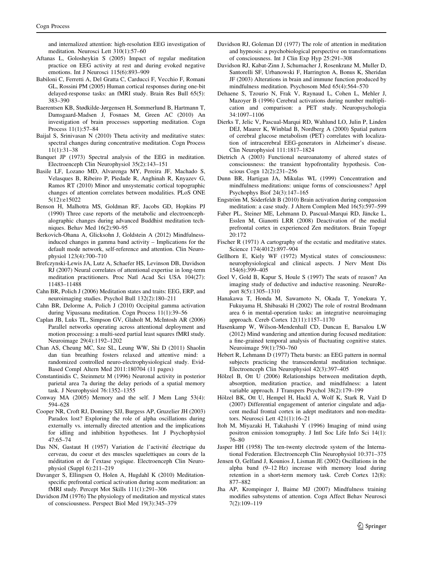<span id="page-8-0"></span>and internalized attention: high-resolution EEG investigation of meditation. Neurosci Lett 310(1):57–60

- Aftanas L, Golosheykin S (2005) Impact of regular meditation practice on EEG activity at rest and during evoked negative emotions. Int J Neurosci 115(6):893–909
- Babiloni C, Ferretti A, Del Gratta C, Carducci F, Vecchio F, Romani GL, Rossini PM (2005) Human cortical responses during one-bit delayed-response tasks: an fMRI study. Brain Res Bull 65(5): 383–390
- Baerentsen KB, Stødkilde-Jørgensen H, Sommerlund B, Hartmann T, Damsgaard-Madsen J, Fosnaes M, Green AC (2010) An investigation of brain processes supporting meditation. Cogn Process 11(1):57–84
- Baijal S, Srinivasan N (2010) Theta activity and meditative states: spectral changes during concentrative meditation. Cogn Process 11(1):31–38
- Banquet JP (1973) Spectral analysis of the EEG in meditation. Electroenceph Clin Neurophysiol 35(2):143–151
- Basile LF, Lozano MD, Alvarenga MY, Pereira JF, Machado S, Velasques B, Ribeiro P, Piedade R, Anghinah R, Knyazev G, Ramos RT (2010) Minor and unsystematic cortical topographic changes of attention correlates between modalities. PLoS ONE 5(12):e15022
- Benson H, Malhotra MS, Goldman RF, Jacobs GD, Hopkins PJ (1990) Three case reports of the metabolic and electroencephalographic changes during advanced Buddhist meditation techniques. Behav Med 16(2):90–95
- Berkovich-Ohana A, Glicksohn J, Goldstein A (2012) Mindfulnessinduced changes in gamma band activity – Implications for the default mode network, self-reference and attention. Clin Neurophysiol 123(4):700–710
- Brefczynski-Lewis JA, Lutz A, Schaefer HS, Levinson DB, Davidson RJ (2007) Neural correlates of attentional expertise in long-term meditation practitioners. Proc Natl Acad Sci USA 104(27): 11483–11488
- Cahn BR, Polich J (2006) Meditation states and traits: EEG, ERP, and neuroimaging studies. Psychol Bull 132(2):180–211
- Cahn BR, Delorme A, Polich J (2010) Occipital gamma activation during Vipassana meditation. Cogn Process 11(1):39–56
- Caplan JB, Luks TL, Simpson GV, Glaholt M, McIntosh AR (2006) Parallel networks operating across attentional deployment and motion processing: a multi-seed partial least squares fMRI study. Neuroimage 29(4):1192–1202
- Chan AS, Cheung MC, Sze SL, Leung WW, Shi D (2011) Shaolin dan tian breathing fosters relaxed and attentive mind: a randomized controlled neuro-electrophysiological study. Evid-Based Compl Altern Med 2011:180704 (11 pages)
- Constantinidis C, Steinmetz M (1996) Neuronal activity in posterior parietal area 7a during the delay periods of a spatial memory task. J Neurophysiol 76:1352–1355
- Conway MA (2005) Memory and the self. J Mem Lang 53(4): 594–628
- Cooper NR, Croft RJ, Dominey SJJ, Burgess AP, Gruzelier JH (2003) Paradox lost? Exploring the role of alpha oscillations during externally vs. internally directed attention and the implications for idling and inhibition hypotheses. Int J Psychophysiol 47:65–74
- Das NN, Gastaut H (1957) Variation de l'activité électrique du cerveau, du coeur et des muscles squelettiques au cours de la méditation et de l'extase yogique. Electroenceph Clin Neurophysiol (Suppl 6):211–219
- Davanger S, Ellingsen O, Holen A, Hugdahl K (2010) Meditationspecific prefrontal cortical activation during acem meditation: an fMRI study. Percept Mot Skills 111(1):291–306
- Davidson JM (1976) The physiology of meditation and mystical states of consciousness. Perspect Biol Med 19(3):345–379
- Davidson RJ, Goleman DJ (1977) The role of attention in meditation and hypnosis: a psychobiological perspective on transformations of consciousness. Int J Clin Exp Hyp 25:291–308
- Davidson RJ, Kabat-Zinn J, Schumacher J, Rosenkranz M, Muller D, Santorelli SF, Urbanowski F, Harrington A, Bonus K, Sheridan JF (2003) Alterations in brain and immune function produced by mindfulness meditation. Psychosom Med 65(4):564–570
- Dehaene S, Tzourio N, Frak V, Raynaud L, Cohen L, Mehler J, Mazoyer B (1996) Cerebral activations during number multiplication and comparison: a PET study. Neuropsychologia 34:1097–1106
- Dierks T, Jelic V, Pascual-Marqui RD, Wahlund LO, Julin P, Linden DEJ, Maurer K, Winblad B, Nordberg A (2000) Spatial pattern of cerebral glucose metabolism (PET) correlates with localization of intracerebral EEG-generators in Alzheimer's disease. Clin Neurophysiol 111:1817–1824
- Dietrich A (2003) Functional neuroanatomy of altered states of consciousness: the transient hypofrontality hypothesis. Conscious Cogn 12(2):231–256
- Dunn BR, Hartigan JA, Mikulas WL (1999) Concentration and mindfulness meditations: unique forms of consciousness? Appl Psychophys Biof 24(3):147–165
- Engström M, Söderfeldt B (2010) Brain activation during compassion meditation: a case study. J Altern Complem Med 16(5):597–599
- Faber PL, Steiner ME, Lehmann D, Pascual-Marqui RD, Jäncke L, Esslen M, Gianotti LRR (2008) Deactivation of the medial prefrontal cortex in experienced Zen meditators. Brain Topogr 20:172
- Fischer R (1971) A cartography of the ecstatic and meditative states. Science 174(4012):897–904
- Gellhorn E, Kiely WF (1972) Mystical states of consciousness: neurophysiological and clinical aspects. J Nerv Ment Dis 154(6):399–405
- Goel V, Gold B, Kapur S, Houle S (1997) The seats of reason? An imaging study of deductive and inductive reasoning. NeuroReport 8(5):1305–1310
- Hanakawa T, Honda M, Sawamoto N, Okada T, Yonekura Y, Fukuyama H, Shibasaki H (2002) The role of rostral Brodmann area 6 in mental-operation tasks: an integrative neuroimaging approach. Cereb Cortex 12(11):1157–1170
- Hasenkamp W, Wilson-Mendenhall CD, Duncan E, Barsalou LW (2012) Mind wandering and attention during focused meditation: a fine-grained temporal analysis of fluctuating cognitive states. Neuroimage 59(1):750–760
- Hebert R, Lehmann D (1977) Theta bursts: an EEG pattern in normal subjects practicing the transcendental meditation technique. Electroenceph Clin Neurophysiol 42(3):397–405
- Hölzel B, Ott U (2006) Relationships between meditation depth, absorption, meditation practice, and mindfulness: a latent variable approach. J Transpers Psychol 38(2):179–199
- Hölzel BK, Ott U, Hempel H, Hackl A, Wolf K, Stark R, Vaitl D (2007) Differential engagement of anterior cingulate and adjacent medial frontal cortex in adept meditators and non-meditators. Neurosci Lett 421(1):16–21
- Itoh M, Miyazaki H, Takahashi Y (1996) Imaging of mind using positron emission tomography. J Intl Soc Life Info Sci 14(1): 76–80
- Jasper HH (1958) The ten-twenty electrode system of the International Federation. Electroenceph Clin Neurophysiol 10:371–375
- Jensen O, Gelfand J, Kounios J, Lisman JE (2002) Oscillations in the alpha band (9–12 Hz) increase with memory load during retention in a short-term memory task. Cereb Cortex 12(8): 877–882
- Jha AP, Krompinger J, Baime MJ (2007) Mindfulness training modifies subsystems of attention. Cogn Affect Behav Neurosci 7(2):109–119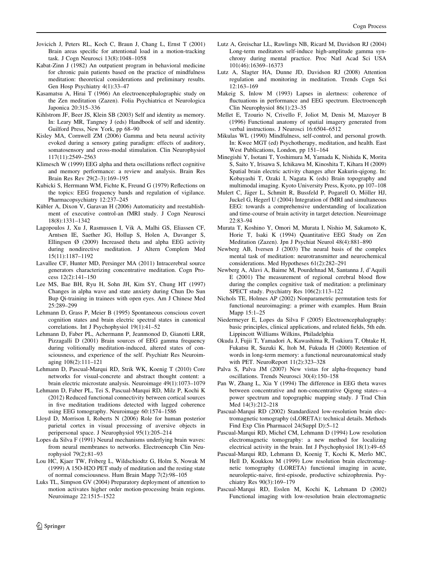- <span id="page-9-0"></span>Jovicich J, Peters RL, Koch C, Braun J, Chang L, Ernst T (2001) Brain areas specific for attentional load in a motion-tracking task. J Cogn Neurosci 13(8):1048–1058
- Kabat-Zinn J (1982) An outpatient program in behavioral medicine for chronic pain patients based on the practice of mindfulness meditation: theoretical considerations and preliminary results. Gen Hosp Psychiatry 4(1):33–47
- Kasamatsu A, Hirai T (1966) An electroencephalographic study on the Zen meditation (Zazen). Folia Psychiatrica et Neurologica Japonica 20:315–336
- Kihlstrom JF, Beer JS, Klein SB (2003) Self and identity as memory. In: Leary MR, Tangney J (eds) Handbook of self and identity. Guilford Press, New York, pp 68–90
- Kisley MA, Cornwell ZM (2006) Gamma and beta neural activity evoked during a sensory gating paradigm: effects of auditory, somatosensory and cross-modal stimulation. Clin Neurophysiol 117(11):2549–2563
- Klimesch W (1999) EEG alpha and theta oscillations reflect cognitive and memory performance: a review and analysis. Brain Res Brain Res Rev 29(2–3):169–195
- Kubicki S, Herrmann WM, Fichte K, Freund G (1979) Reflections on the topics: EEG frequency bands and regulation of vigilance. Pharmacopsychiatry 12:237–245
- Kübler A, Dixon V, Garavan H (2006) Automaticity and reestablishment of executive control-an fMRI study. J Cogn Neurosci 18(8):1331–1342
- Lagopoulos J, Xu J, Rasmussen I, Vik A, Malhi GS, Eliassen CF, Arntsen IE, Saether JG, Hollup S, Holen A, Davanger S, Ellingsen Ø (2009) Increased theta and alpha EEG activity during nondirective meditation. J Altern Complem Med 15(11):1187–1192
- Lavallee CF, Hunter MD, Persinger MA (2011) Intracerebral source generators characterizing concentrative meditation. Cogn Process 12(2):141–150
- Lee MS, Bae BH, Ryu H, Sohn JH, Kim SY, Chung HT (1997) Changes in alpha wave and state anxiety during Chun Do Sun Bup Qi-training in trainees with open eyes. Am J Chinese Med 25:289–299
- Lehmann D, Grass P, Meier B (1995) Spontaneous conscious covert cognition states and brain electric spectral states in canonical correlations. Int J Psychophysiol 19(1):41–52
- Lehmann D, Faber PL, Achermann P, Jeanmonod D, Gianotti LRR, Pizzagalli D (2001) Brain sources of EEG gamma frequency during volitionally meditation-induced, altered states of consciousness, and experience of the self. Psychiatr Res Neuroimaging 108(2):111–121
- Lehmann D, Pascual-Marqui RD, Strik WK, Koenig T (2010) Core networks for visual-concrete and abstract thought content: a brain electric microstate analysis. Neuroimage 49(1):1073–1079
- Lehmann D, Faber PL, Tei S, Pascual-Marqui RD, Milz P, Kochi K (2012) Reduced functional connectivity between cortical sources in five meditation traditions detected with lagged coherence using EEG tomography. Neuroimage 60:1574–1586
- Lloyd D, Morrison I, Roberts N (2006) Role for human posterior parietal cortex in visual processing of aversive objects in peripersonal space. J Neurophysiol 95(1):205–214
- Lopes da Silva F (1991) Neural mechanisms underlying brain waves: from neural membranes to networks. Electroenceph Clin Neurophysiol 79(2):81–93
- Lou HC, Kjaer TW, Friberg L, Wildschiodtz G, Holm S, Nowak M (1999) A 15O-H2O PET study of meditation and the resting state of normal consciousness. Hum Brain Mapp 7(2):98–105
- Luks TL, Simpson GV (2004) Preparatory deployment of attention to motion activates higher order motion-processing brain regions. Neuroimage 22:1515–1522
- Lutz A, Greischar LL, Rawlings NB, Ricard M, Davidson RJ (2004) Long-term meditators self-induce high-amplitude gamma synchrony during mental practice. Proc Natl Acad Sci USA 101(46):16369–16373
- Lutz A, Slagter HA, Dunne JD, Davidson RJ (2008) Attention regulation and monitoring in meditation. Trends Cogn Sci 12:163–169
- Makeig S, Inlow M (1993) Lapses in alertness: coherence of fluctuations in performance and EEG spectrum. Electroenceph Clin Neurophysiol 86(1):23–35
- Mellet E, Tzourio N, Crivello F, Joliot M, Denis M, Mazoyer B (1996) Functional anatomy of spatial imagery generated from verbal instructions. J Neurosci 16:6504–6512
- Mikulas WL (1990) Mindfulness, self-control, and personal growth. In: Kwee MGT (ed) Psychotherapy, meditation, and health. East West Publications, London, pp 151–164
- Minegishi Y, Isotani T, Yoshimura M, Yamada K, Nishida K, Morita S, Saito Y, Irisawa S, Ichikawa M, Kinoshita T, Kihara H (2009) Spatial brain electric activity changes after Kakurin-qigong. In: Kobayashi T, Ozaki I, Nagata K (eds) Brain topography and multimodal imaging. Kyoto University Press, Kyoto, pp 107–108
- Mulert C, Jäger L, Schmitt R, Bussfeld P, Pogarell O, Möller HJ, Juckel G, Hegerl U (2004) Integration of fMRI and simultaneous EEG: towards a comprehensive understanding of localization and time-course of brain activity in target detection. Neuroimage 22:83–94
- Murata T, Koshino Y, Omori M, Murata I, Nishio M, Sakamoto K, Horie T, Isaki K (1994) Quantitative EEG Study on Zen Meditation (Zazen). Jpn J Psychiat Neurol 48(4):881–890
- Newberg AB, Iversen J (2003) The neural basis of the complex mental task of meditation: neurotransmitter and neurochemical considerations. Med Hypotheses 61(2):282–291
- Newberg A, Alavi A, Baime M, Pourdehnad M, Santanna J, d'Aquili E (2001) The measurement of regional cerebral blood flow during the complex cognitive task of meditation: a preliminary SPECT study. Psychiatry Res 106(2):113–122
- Nichols TE, Holmes AP (2002) Nonparametric permutation tests for functional neuroimaging: a primer with examples. Hum Brain Mapp 15:1–25
- Niedermeyer E, Lopes da Silva F (2005) Electroencephalography: basic principles, clinical applications, and related fields, 5th edn. Lippincott Williams Wilkins, Philadelphia
- Okuda J, Fujii T, Yamadori A, Kawashima R, Tsukiura T, Ohtake H, Fukatsu R, Suzuki K, Itoh M, Fukuda H (2000) Retention of words in long-term memory: a functional neuroanatomical study with PET. NeuroReport 11(2):323–328
- Palva S, Palva JM (2007) New vistas for alpha-frequency band oscillations. Trends Neurosci 30(4):150–158
- Pan W, Zhang L, Xia Y (1994) The difference in EEG theta waves between concentrative and non-concentrative Qigong states—a power spectrum and topographic mapping study. J Trad Chin Med 14(3):212–218
- Pascual-Marqui RD (2002) Standardized low-resolution brain electromagnetic tomography (sLORETA): technical details. Methods Find Exp Clin Pharmacol 24(Suppl D):5–12
- Pascual-Marqui RD, Michel CM, Lehmann D (1994) Low resolution electromagnetic tomography: a new method for localizing electrical activity in the brain. Int J Psychophysiol 18(1):49–65
- Pascual-Marqui RD, Lehmann D, Koenig T, Kochi K, Merlo MC, Hell D, Koukkou M (1999) Low resolution brain electromagnetic tomography (LORETA) functional imaging in acute, neuroleptic-naive, first-episode, productive schizophrenia. Psychiatry Res 90(3):169–179
- Pascual-Marqui RD, Esslen M, Kochi K, Lehmann D (2002) Functional imaging with low-resolution brain electromagnetic